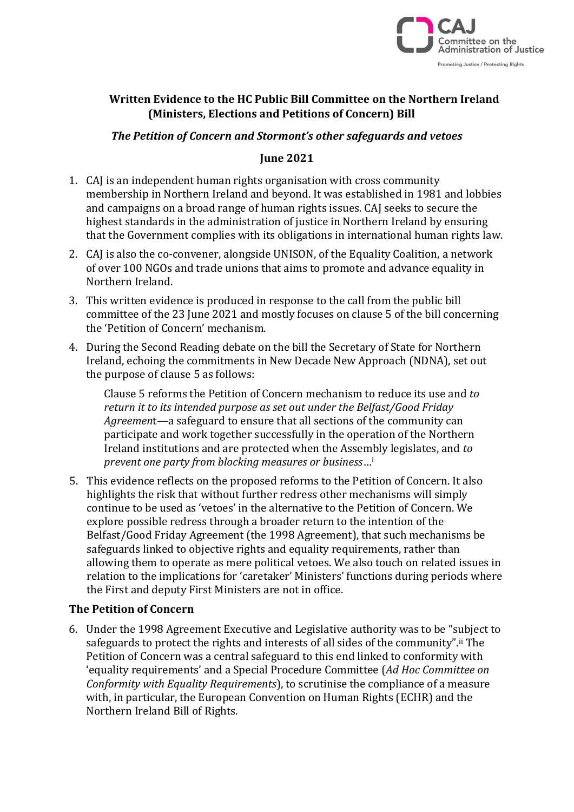

# **Written Evidence to the HC Public Bill Committee on the Northern Ireland (Ministers, Elections and Petitions of Concern) Bill**

# *The Petition of Concern and Stormont's other safeguards and vetoes*

## **June 2021**

- 1. CAJ is an independent human rights organisation with cross community membership in Northern Ireland and beyond. It was established in 1981 and lobbies and campaigns on a broad range of human rights issues. CAJ seeks to secure the highest standards in the administration of justice in Northern Ireland by ensuring that the Government complies with its obligations in international human rights law.
- 2. CAJ is also the co-convener, alongside UNISON, of the Equality Coalition, a network of over 100 NGOs and trade unions that aims to promote and advance equality in Northern Ireland.
- 3. This written evidence is produced in response to the call from the public bill committee of the 23 June 2021 and mostly focuses on clause 5 of the bill concerning the 'Petition of Concern' mechanism.
- 4. During the Second Reading debate on the bill the Secretary of State for Northern Ireland, echoing the commitments in New Decade New Approach (NDNA), set out the purpose of clause 5 as follows:

Clause 5 reforms the Petition of Concern mechanism to reduce its use and *to return it to its intended purpose as set out under the Belfast/Good Friday Agreemen*t—a safeguard to ensure that all sections of the community can participate and work together successfully in the operation of the Northern Ireland institutions and are protected when the Assembly legislates, and *to prevent one party from blocking measures or business*…<sup>i</sup>

5. This evidence reflects on the proposed reforms to the Petition of Concern. It also highlights the risk that without further redress other mechanisms will simply continue to be used as 'vetoes' in the alternative to the Petition of Concern. We explore possible redress through a broader return to the intention of the Belfast/Good Friday Agreement (the 1998 Agreement), that such mechanisms be safeguards linked to objective rights and equality requirements, rather than allowing them to operate as mere political vetoes. We also touch on related issues in relation to the implications for 'caretaker' Ministers' functions during periods where the First and deputy First Ministers are not in office.

### **The Petition of Concern**

6. Under the 1998 Agreement Executive and Legislative authority was to be "subject to safeguards to protect the rights and interests of all sides of the community".<sup>ii</sup> The Petition of Concern was a central safeguard to this end linked to conformity with 'equality requirements' and a Special Procedure Committee (*Ad Hoc Committee on Conformity with Equality Requirements*), to scrutinise the compliance of a measure with, in particular, the European Convention on Human Rights (ECHR) and the Northern Ireland Bill of Rights.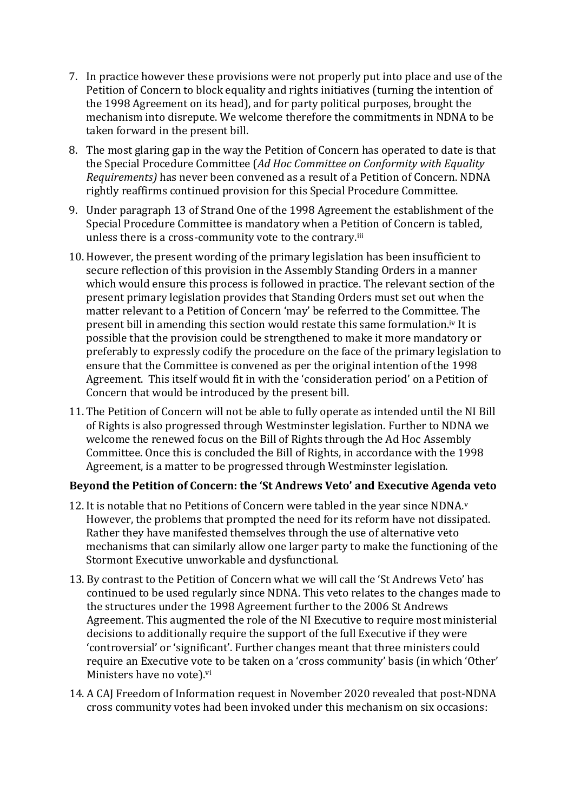- 7. In practice however these provisions were not properly put into place and use of the Petition of Concern to block equality and rights initiatives (turning the intention of the 1998 Agreement on its head), and for party political purposes, brought the mechanism into disrepute. We welcome therefore the commitments in NDNA to be taken forward in the present bill.
- 8. The most glaring gap in the way the Petition of Concern has operated to date is that the Special Procedure Committee (*Ad Hoc Committee on Conformity with Equality Requirements)* has never been convened as a result of a Petition of Concern. NDNA rightly reaffirms continued provision for this Special Procedure Committee.
- 9. Under paragraph 13 of Strand One of the 1998 Agreement the establishment of the Special Procedure Committee is mandatory when a Petition of Concern is tabled, unless there is a cross-community vote to the contrary.iii
- 10. However, the present wording of the primary legislation has been insufficient to secure reflection of this provision in the Assembly Standing Orders in a manner which would ensure this process is followed in practice. The relevant section of the present primary legislation provides that Standing Orders must set out when the matter relevant to a Petition of Concern 'may' be referred to the Committee. The present bill in amending this section would restate this same formulation.iv It is possible that the provision could be strengthened to make it more mandatory or preferably to expressly codify the procedure on the face of the primary legislation to ensure that the Committee is convened as per the original intention of the 1998 Agreement. This itself would fit in with the 'consideration period' on a Petition of Concern that would be introduced by the present bill.
- 11. The Petition of Concern will not be able to fully operate as intended until the NI Bill of Rights is also progressed through Westminster legislation. Further to NDNA we welcome the renewed focus on the Bill of Rights through the Ad Hoc Assembly Committee. Once this is concluded the Bill of Rights, in accordance with the 1998 Agreement, is a matter to be progressed through Westminster legislation.

### **Beyond the Petition of Concern: the 'St Andrews Veto' and Executive Agenda veto**

- 12. It is notable that no Petitions of Concern were tabled in the year since  $NDNA<sub>y</sub>$ However, the problems that prompted the need for its reform have not dissipated. Rather they have manifested themselves through the use of alternative veto mechanisms that can similarly allow one larger party to make the functioning of the Stormont Executive unworkable and dysfunctional.
- 13. By contrast to the Petition of Concern what we will call the 'St Andrews Veto' has continued to be used regularly since NDNA. This veto relates to the changes made to the structures under the 1998 Agreement further to the 2006 St Andrews Agreement. This augmented the role of the NI Executive to require most ministerial decisions to additionally require the support of the full Executive if they were 'controversial' or 'significant'. Further changes meant that three ministers could require an Executive vote to be taken on a 'cross community' basis (in which 'Other' Ministers have no vote).vi
- 14. A CAJ Freedom of Information request in November 2020 revealed that post-NDNA cross community votes had been invoked under this mechanism on six occasions: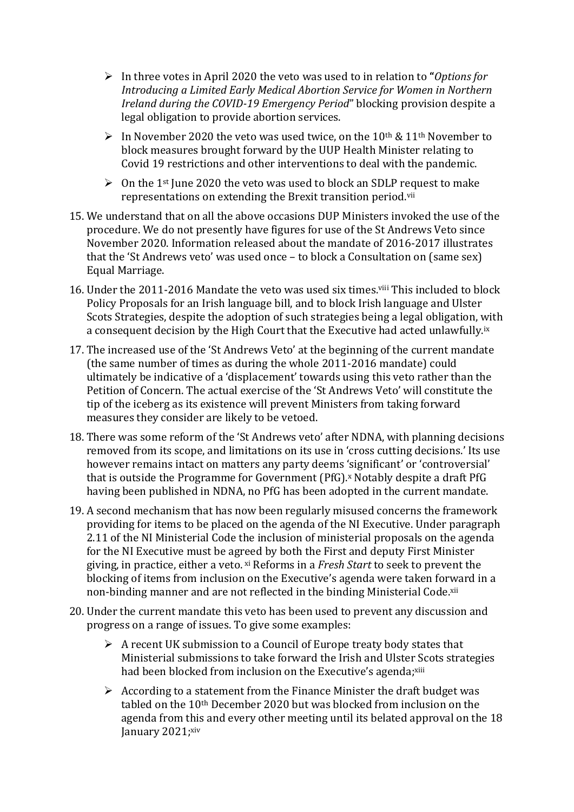- ➢ In three votes in April 2020 the veto was used to in relation to **"***Options for Introducing a Limited Early Medical Abortion Service for Women in Northern Ireland during the COVID-19 Emergency Period*" blocking provision despite a legal obligation to provide abortion services.
- $\triangleright$  In November 2020 the veto was used twice, on the 10<sup>th</sup> & 11<sup>th</sup> November to block measures brought forward by the UUP Health Minister relating to Covid 19 restrictions and other interventions to deal with the pandemic.
- $\geq 0$ n the 1<sup>st</sup> June 2020 the veto was used to block an SDLP request to make representations on extending the Brexit transition period.vii
- 15. We understand that on all the above occasions DUP Ministers invoked the use of the procedure. We do not presently have figures for use of the St Andrews Veto since November 2020. Information released about the mandate of 2016-2017 illustrates that the 'St Andrews veto' was used once – to block a Consultation on (same sex) Equal Marriage.
- 16. Under the 2011-2016 Mandate the veto was used six times.viii This included to block Policy Proposals for an Irish language bill, and to block Irish language and Ulster Scots Strategies, despite the adoption of such strategies being a legal obligation, with a consequent decision by the High Court that the Executive had acted unlawfully.<sup>ix</sup>
- 17. The increased use of the 'St Andrews Veto' at the beginning of the current mandate (the same number of times as during the whole 2011-2016 mandate) could ultimately be indicative of a 'displacement' towards using this veto rather than the Petition of Concern. The actual exercise of the 'St Andrews Veto' will constitute the tip of the iceberg as its existence will prevent Ministers from taking forward measures they consider are likely to be vetoed.
- 18. There was some reform of the 'St Andrews veto' after NDNA, with planning decisions removed from its scope, and limitations on its use in 'cross cutting decisions.' Its use however remains intact on matters any party deems 'significant' or 'controversial' that is outside the Programme for Government (PfG). <sup>x</sup> Notably despite a draft PfG having been published in NDNA, no PfG has been adopted in the current mandate.
- 19. A second mechanism that has now been regularly misused concerns the framework providing for items to be placed on the agenda of the NI Executive. Under paragraph 2.11 of the NI Ministerial Code the inclusion of ministerial proposals on the agenda for the NI Executive must be agreed by both the First and deputy First Minister giving, in practice, either a veto. xi Reforms in a *Fresh Start* to seek to prevent the blocking of items from inclusion on the Executive's agenda were taken forward in a non-binding manner and are not reflected in the binding Ministerial Code.<sup>xii</sup>
- 20. Under the current mandate this veto has been used to prevent any discussion and progress on a range of issues. To give some examples:
	- $\triangleright$  A recent UK submission to a Council of Europe treaty body states that Ministerial submissions to take forward the Irish and Ulster Scots strategies had been blocked from inclusion on the Executive's agenda;<sup>xiii</sup>
	- $\triangleright$  According to a statement from the Finance Minister the draft budget was tabled on the 10th December 2020 but was blocked from inclusion on the agenda from this and every other meeting until its belated approval on the 18 January 2021;xiv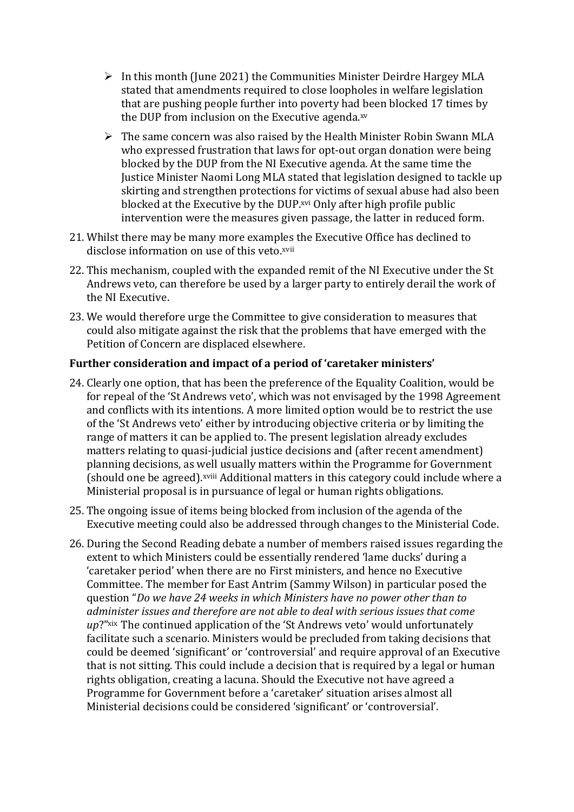- $\triangleright$  In this month (June 2021) the Communities Minister Deirdre Hargey MLA stated that amendments required to close loopholes in welfare legislation that are pushing people further into poverty had been blocked 17 times by the DUP from inclusion on the Executive agenda.<sup>xv</sup>
- ➢ The same concern was also raised by the Health Minister Robin Swann MLA who expressed frustration that laws for opt-out organ donation were being blocked by the DUP from the NI Executive agenda. At the same time the Justice Minister Naomi Long MLA stated that legislation designed to tackle up skirting and strengthen protections for victims of sexual abuse had also been blocked at the Executive by the DUP.<sup>xvi</sup> Only after high profile public intervention were the measures given passage, the latter in reduced form.
- 21. Whilst there may be many more examples the Executive Office has declined to disclose information on use of this veto.<sup>xvii</sup>
- 22. This mechanism, coupled with the expanded remit of the NI Executive under the St Andrews veto, can therefore be used by a larger party to entirely derail the work of the NI Executive.
- 23. We would therefore urge the Committee to give consideration to measures that could also mitigate against the risk that the problems that have emerged with the Petition of Concern are displaced elsewhere.

### **Further consideration and impact of a period of 'caretaker ministers'**

- 24. Clearly one option, that has been the preference of the Equality Coalition, would be for repeal of the 'St Andrews veto', which was not envisaged by the 1998 Agreement and conflicts with its intentions. A more limited option would be to restrict the use of the 'St Andrews veto' either by introducing objective criteria or by limiting the range of matters it can be applied to. The present legislation already excludes matters relating to quasi-judicial justice decisions and (after recent amendment) planning decisions, as well usually matters within the Programme for Government (should one be agreed).xviii Additional matters in this category could include where a Ministerial proposal is in pursuance of legal or human rights obligations.
- 25. The ongoing issue of items being blocked from inclusion of the agenda of the Executive meeting could also be addressed through changes to the Ministerial Code.
- 26. During the Second Reading debate a number of members raised issues regarding the extent to which Ministers could be essentially rendered 'lame ducks' during a 'caretaker period' when there are no First ministers, and hence no Executive Committee. The member for East Antrim (Sammy Wilson) in particular posed the question "*Do we have 24 weeks in which Ministers have no power other than to administer issues and therefore are not able to deal with serious issues that come up*?"xix The continued application of the 'St Andrews veto' would unfortunately facilitate such a scenario. Ministers would be precluded from taking decisions that could be deemed 'significant' or 'controversial' and require approval of an Executive that is not sitting. This could include a decision that is required by a legal or human rights obligation, creating a lacuna. Should the Executive not have agreed a Programme for Government before a 'caretaker' situation arises almost all Ministerial decisions could be considered 'significant' or 'controversial'.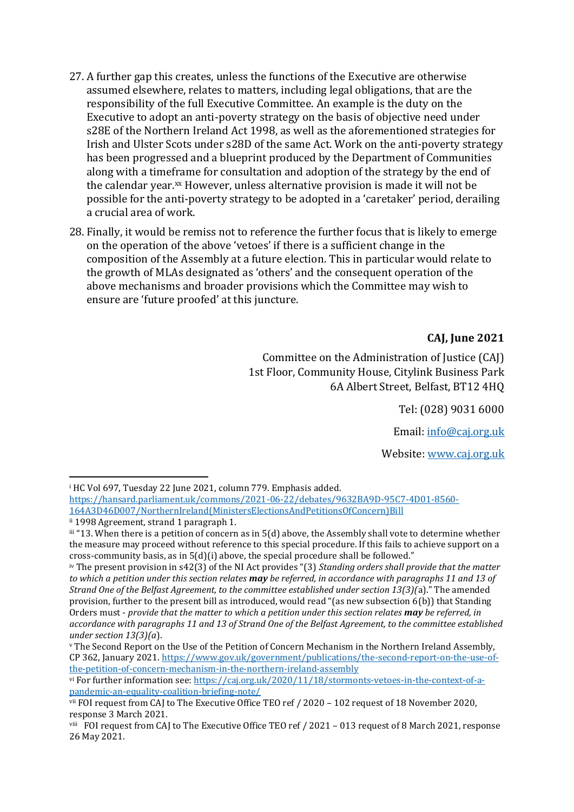- 27. A further gap this creates, unless the functions of the Executive are otherwise assumed elsewhere, relates to matters, including legal obligations, that are the responsibility of the full Executive Committee. An example is the duty on the Executive to adopt an anti-poverty strategy on the basis of objective need under s28E of the Northern Ireland Act 1998, as well as the aforementioned strategies for Irish and Ulster Scots under s28D of the same Act. Work on the anti-poverty strategy has been progressed and a blueprint produced by the Department of Communities along with a timeframe for consultation and adoption of the strategy by the end of the calendar year.<sup>xx</sup> However, unless alternative provision is made it will not be possible for the anti-poverty strategy to be adopted in a 'caretaker' period, derailing a crucial area of work.
- 28. Finally, it would be remiss not to reference the further focus that is likely to emerge on the operation of the above 'vetoes' if there is a sufficient change in the composition of the Assembly at a future election. This in particular would relate to the growth of MLAs designated as 'others' and the consequent operation of the above mechanisms and broader provisions which the Committee may wish to ensure are 'future proofed' at this juncture.

#### **CAJ, June 2021**

Committee on the Administration of Justice (CAJ) 1st Floor, Community House, Citylink Business Park 6A Albert Street, Belfast, BT12 4HQ

Tel: (028) 9031 6000

Email: [info@caj.org.uk](mailto:info@caj.org.uk)

Website[: www.caj.org.uk](https://caj.org.uk/)

<sup>&</sup>lt;sup>i</sup> HC Vol 697, Tuesday 22 June 2021, column 779. Emphasis added.

[https://hansard.parliament.uk/commons/2021-06-22/debates/9632BA9D-95C7-4D01-8560-](https://hansard.parliament.uk/commons/2021-06-22/debates/9632BA9D-95C7-4D01-8560-164A3D46D007/NorthernIreland(MinistersElectionsAndPetitionsOfConcern)Bill) [164A3D46D007/NorthernIreland\(MinistersElectionsAndPetitionsOfConcern\)Bill](https://hansard.parliament.uk/commons/2021-06-22/debates/9632BA9D-95C7-4D01-8560-164A3D46D007/NorthernIreland(MinistersElectionsAndPetitionsOfConcern)Bill) ii 1998 Agreement, strand 1 paragraph 1.

iii "13. When there is a petition of concern as in 5(d) above, the Assembly shall vote to determine whether the measure may proceed without reference to this special procedure. If this fails to achieve support on a cross-community basis, as in 5(d)(i) above, the special procedure shall be followed."

iv The present provision in s42(3) of the NI Act provides "(3) *Standing orders shall provide that the matter to which a petition under this section relates may be referred, in accordance with paragraphs 11 and 13 of Strand One of the Belfast Agreement, to the committee established under section 13(3)(*a)." The amended provision, further to the present bill as introduced, would read "(as new subsection 6(b)) that Standing Orders must - *provide that the matter to which a petition under this section relates may be referred, in accordance with paragraphs 11 and 13 of Strand One of the Belfast Agreement, to the committee established under section 13(3)(a*).

<sup>v</sup> The Second Report on the Use of the Petition of Concern Mechanism in the Northern Ireland Assembly, CP 362, January 2021. [https://www.gov.uk/government/publications/the-second-report-on-the-use-of](https://www.gov.uk/government/publications/the-second-report-on-the-use-of-the-petition-of-concern-mechanism-in-the-northern-ireland-assembly)[the-petition-of-concern-mechanism-in-the-northern-ireland-assembly](https://www.gov.uk/government/publications/the-second-report-on-the-use-of-the-petition-of-concern-mechanism-in-the-northern-ireland-assembly)

vi For further information see: [https://caj.org.uk/2020/11/18/stormonts-vetoes-in-the-context-of-a](https://caj.org.uk/2020/11/18/stormonts-vetoes-in-the-context-of-a-pandemic-an-equality-coalition-briefing-note/)[pandemic-an-equality-coalition-briefing-note/](https://caj.org.uk/2020/11/18/stormonts-vetoes-in-the-context-of-a-pandemic-an-equality-coalition-briefing-note/)

vii FOI request from CAJ to The Executive Office TEO ref / 2020 – 102 request of 18 November 2020, response 3 March 2021.

viii FOI request from CAJ to The Executive Office TEO ref / 2021 – 013 request of 8 March 2021, response 26 May 2021.